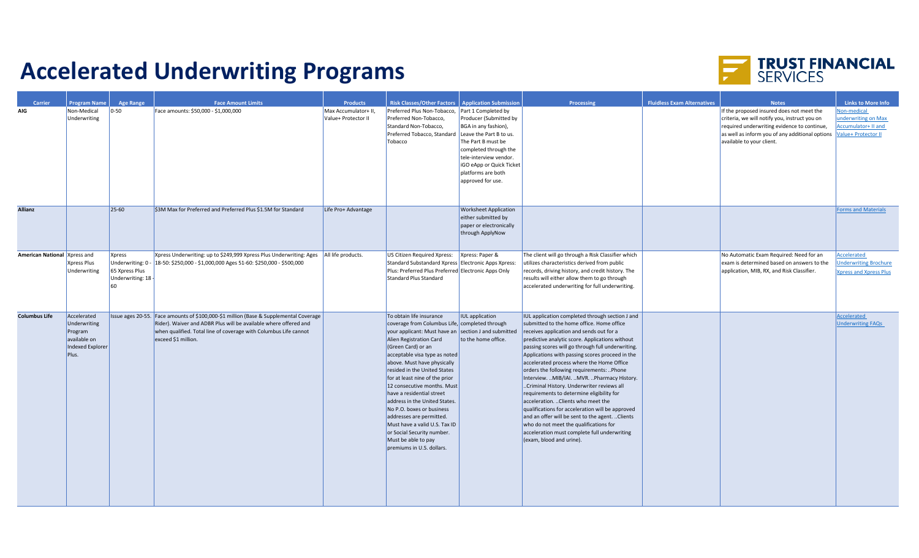## **Accelerated Underwriting Programs**



| Carrier                      | <b>Program Name</b>                                                                 | <b>Age Range</b>                                           | <b>Face Amount Limits</b>                                                                                                                                                                                                                            | <b>Products</b>                             | <b>Risk Classes/Other Factors   Application Submission</b>                                                                                                                                                                                                                                                                                                                                                                                                                                                                                                                                     |                                                                                                                                                                                                                                                         | Processing                                                                                                                                                                                                                                                                                                                                                                                                                                                                                                                                                                                                                                                                                                                                                                                                | <b>Fluidless Exam Alternatives</b> | <b>Notes</b>                                                                                                                                                                                                              | <b>Links to More Info</b>                                                        |
|------------------------------|-------------------------------------------------------------------------------------|------------------------------------------------------------|------------------------------------------------------------------------------------------------------------------------------------------------------------------------------------------------------------------------------------------------------|---------------------------------------------|------------------------------------------------------------------------------------------------------------------------------------------------------------------------------------------------------------------------------------------------------------------------------------------------------------------------------------------------------------------------------------------------------------------------------------------------------------------------------------------------------------------------------------------------------------------------------------------------|---------------------------------------------------------------------------------------------------------------------------------------------------------------------------------------------------------------------------------------------------------|-----------------------------------------------------------------------------------------------------------------------------------------------------------------------------------------------------------------------------------------------------------------------------------------------------------------------------------------------------------------------------------------------------------------------------------------------------------------------------------------------------------------------------------------------------------------------------------------------------------------------------------------------------------------------------------------------------------------------------------------------------------------------------------------------------------|------------------------------------|---------------------------------------------------------------------------------------------------------------------------------------------------------------------------------------------------------------------------|----------------------------------------------------------------------------------|
| <b>AIG</b>                   | Non-Medical<br>Underwriting                                                         | $ 0-50 $                                                   | Face amounts: \$50,000 - \$1,000,000                                                                                                                                                                                                                 | Max Accumulator+ II,<br>Value+ Protector II | Preferred Plus Non-Tobacco,<br>Preferred Non-Tobacco,<br>Standard Non-Tobacco,<br>Preferred Tobacco, Standard<br>Tobacco                                                                                                                                                                                                                                                                                                                                                                                                                                                                       | Part 1 Completed by<br>Producer (Submitted by<br>BGA in any fashion),<br>Leave the Part B to us.<br>The Part B must be<br>completed through the<br>tele-interview vendor.<br><b>iGO eApp or Quick Ticket</b><br>platforms are both<br>approved for use. |                                                                                                                                                                                                                                                                                                                                                                                                                                                                                                                                                                                                                                                                                                                                                                                                           |                                    | If the proposed insured does not meet the<br>criteria, we will notify you, instruct you on<br>required underwriting evidence to continue,<br>as well as inform you of any additional options<br>available to your client. | Non-medical<br>underwriting on Max<br>Accumulator+ II and<br>Value+ Protector II |
| <b>Allianz</b>               |                                                                                     | $25-60$                                                    | \$3M Max for Preferred and Preferred Plus \$1.5M for Standard                                                                                                                                                                                        | Life Pro+ Advantage                         |                                                                                                                                                                                                                                                                                                                                                                                                                                                                                                                                                                                                | <b>Worksheet Application</b><br>either submitted by<br>paper or electronically<br>through ApplyNow                                                                                                                                                      |                                                                                                                                                                                                                                                                                                                                                                                                                                                                                                                                                                                                                                                                                                                                                                                                           |                                    |                                                                                                                                                                                                                           | <b>Forms and Materials</b>                                                       |
| American National Xpress and | Xpress Plus<br>Underwriting                                                         | <b>Xpress</b><br>65 Xpress Plus<br>Underwriting: 18<br>nal | Xpress Underwriting: up to \$249,999 Xpress Plus Underwriting: Ages   All life products.<br>Underwriting: 0 - 18-50: \$250,000 - \$1,000,000 Ages 51-60: \$250,000 - \$500,000                                                                       |                                             | US Citizen Required Xpress:<br>Standard Substandard Xpress Electronic Apps Xpress:<br>Plus: Preferred Plus Preferred Electronic Apps Only<br>Standard Plus Standard                                                                                                                                                                                                                                                                                                                                                                                                                            | Xpress: Paper &                                                                                                                                                                                                                                         | The client will go through a Risk Classifier which<br>utilizes characteristics derived from public<br>records, driving history, and credit history. The<br>results will either allow them to go through<br>accelerated underwriting for full underwriting.                                                                                                                                                                                                                                                                                                                                                                                                                                                                                                                                                |                                    | No Automatic Exam Required: Need for an<br>exam is determined based on answers to the<br>application, MIB, RX, and Risk Classifier.                                                                                       | Accelerated<br><b>Jnderwriting Brochure</b><br><b>Xpress and Xpress Plus</b>     |
| <b>Columbus Life</b>         | Accelerated<br>Underwriting<br>Program<br>available on<br>Indexed Explorer<br>Plus. |                                                            | Issue ages 20-55. Face amounts of \$100,000-\$1 million (Base & Supplemental Coverage<br>Rider). Waiver and ADBR Plus will be available where offered and<br>when qualified. Total line of coverage with Columbus Life cannot<br>exceed \$1 million. |                                             | To obtain life insurance<br>coverage from Columbus Life, completed through<br>your applicant: Must have an section J and submitted<br>Alien Registration Card<br>(Green Card) or an<br>acceptable visa type as noted<br>above. Must have physically<br>resided in the United States<br>for at least nine of the prior<br>12 consecutive months. Must<br>have a residential street<br>address in the United States.<br>No P.O. boxes or business<br>addresses are permitted.<br>Must have a valid U.S. Tax ID<br>or Social Security number.<br>Must be able to pay<br>premiums in U.S. dollars. | <b>IUL</b> application<br>to the home office.                                                                                                                                                                                                           | IUL application completed through section J and<br>submitted to the home office. Home office<br>receives application and sends out for a<br>predictive analytic score. Applications without<br>passing scores will go through full underwriting.<br>Applications with passing scores proceed in the<br>accelerated process where the Home Office<br>orders the following requirements: Phone<br>Interview. MIB/IAI. MVR. Pharmacy History.<br>Criminal History. Underwriter reviews all<br>requirements to determine eligibility for<br>acceleration.  Clients who meet the<br>qualifications for acceleration will be approved<br>and an offer will be sent to the agent.  Clients<br>who do not meet the qualifications for<br>acceleration must complete full underwriting<br>(exam, blood and urine). |                                    |                                                                                                                                                                                                                           | Accelerated<br><b>Underwriting FAQs</b>                                          |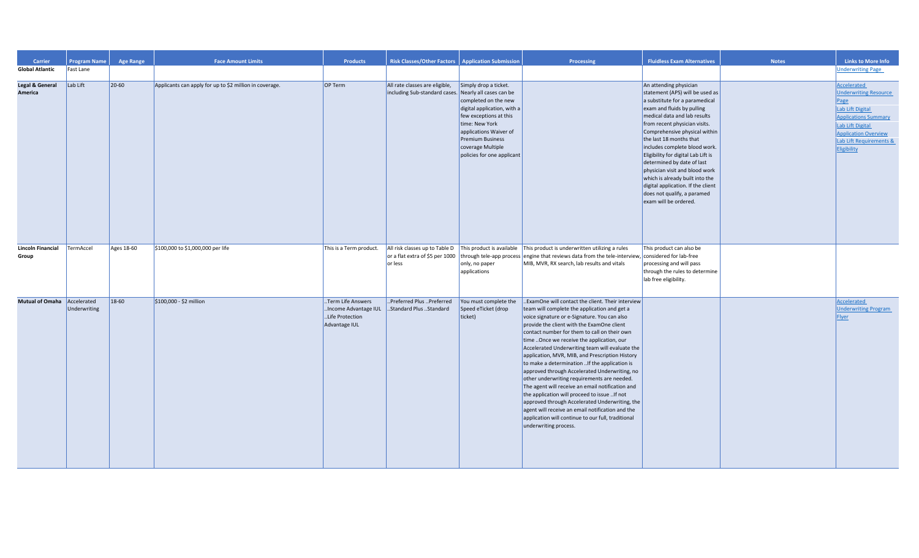| Carrier<br><b>Global Atlantic</b>     | <b>Program Name</b><br>Fast Lane | <b>Age Range</b> | <b>Face Amount Limits</b>                               | <b>Products</b>                                                                | <b>Risk Classes/Other Factors</b>                               | <b>Application Submission</b>                                                                                                                                                                                                                               | Processing                                                                                                                                                                                                                                                                                                                                                                                                                                                                                                                                                                                                                                                                                                                                                                                                                                     | <b>Fluidless Exam Alternatives</b>                                                                                                                                                                                                                                                                                                                                                                                                                                                                                              | <b>Notes</b> | <b>Links to More Info</b><br><b>Underwriting Page</b>                                                                                                                                                      |
|---------------------------------------|----------------------------------|------------------|---------------------------------------------------------|--------------------------------------------------------------------------------|-----------------------------------------------------------------|-------------------------------------------------------------------------------------------------------------------------------------------------------------------------------------------------------------------------------------------------------------|------------------------------------------------------------------------------------------------------------------------------------------------------------------------------------------------------------------------------------------------------------------------------------------------------------------------------------------------------------------------------------------------------------------------------------------------------------------------------------------------------------------------------------------------------------------------------------------------------------------------------------------------------------------------------------------------------------------------------------------------------------------------------------------------------------------------------------------------|---------------------------------------------------------------------------------------------------------------------------------------------------------------------------------------------------------------------------------------------------------------------------------------------------------------------------------------------------------------------------------------------------------------------------------------------------------------------------------------------------------------------------------|--------------|------------------------------------------------------------------------------------------------------------------------------------------------------------------------------------------------------------|
|                                       |                                  |                  |                                                         |                                                                                |                                                                 |                                                                                                                                                                                                                                                             |                                                                                                                                                                                                                                                                                                                                                                                                                                                                                                                                                                                                                                                                                                                                                                                                                                                |                                                                                                                                                                                                                                                                                                                                                                                                                                                                                                                                 |              |                                                                                                                                                                                                            |
| <b>Legal &amp; General</b><br>America | Lab Lift                         | $ 20 - 60 $      | Applicants can apply for up to \$2 million in coverage. | OP Term                                                                        | All rate classes are eligible,<br>including Sub-standard cases. | Simply drop a ticket.<br>Nearly all cases can be<br>completed on the new<br>digital application, with a<br>few exceptions at this<br>time: New York<br>applications Waiver of<br><b>Premium Business</b><br>coverage Multiple<br>policies for one applicant |                                                                                                                                                                                                                                                                                                                                                                                                                                                                                                                                                                                                                                                                                                                                                                                                                                                | An attending physician<br>statement (APS) will be used as<br>a substitute for a paramedical<br>exam and fluids by pulling<br>medical data and lab results<br>from recent physician visits.<br>Comprehensive physical within<br>the last 18 months that<br>includes complete blood work.<br>Eligibility for digital Lab Lift is<br>determined by date of last<br>physician visit and blood work<br>which is already built into the<br>digital application. If the client<br>does not qualify, a paramed<br>exam will be ordered. |              | <b>Accelerated</b><br><b>Underwriting Resource</b><br>Page<br>Lab Lift Digital<br><b>Applications Summary</b><br>Lab Lift Digital<br><b>Application Overview</b><br>Lab Lift Requirements &<br>Eligibility |
| <b>Lincoln Financial</b><br>Group     | TermAccel                        | Ages 18-60       | \$100,000 to \$1,000,000 per life                       | This is a Term product.                                                        | or a flat extra of \$5 per 1000<br>or less                      | only, no paper<br>applications                                                                                                                                                                                                                              | All risk classes up to Table D $\vert$ This product is available $\vert$ This product is underwritten utilizing a rules<br>through tele-app process engine that reviews data from the tele-interview, considered for lab-free<br>MIB, MVR, RX search, lab results and vitals                                                                                                                                                                                                                                                                                                                                                                                                                                                                                                                                                                   | This product can also be<br>processing and will pass<br>through the rules to determine<br>lab free eligibility.                                                                                                                                                                                                                                                                                                                                                                                                                 |              |                                                                                                                                                                                                            |
| Mutual of Omaha Accelerated           | Underwriting                     | $18-60$          | \$100,000 - \$2 million                                 | Term Life Answers<br>.Income Advantage IUL<br>Life Protection<br>Advantage IUL | Preferred Plus Preferred<br>Standard Plus Standard              | You must complete the<br>Speed eTicket (drop<br>ticket)                                                                                                                                                                                                     | ExamOne will contact the client. Their interview<br>team will complete the application and get a<br>voice signature or e-Signature. You can also<br>provide the client with the ExamOne client<br>contact number for them to call on their own<br>time  Once we receive the application, our<br>Accelerated Underwriting team will evaluate the<br>application, MVR, MIB, and Prescription History<br>to make a determination  If the application is<br>approved through Accelerated Underwriting, no<br>other underwriting requirements are needed.<br>The agent will receive an email notification and<br>the application will proceed to issue  If not<br>approved through Accelerated Underwriting, the<br>agent will receive an email notification and the<br>application will continue to our full, traditional<br>underwriting process. |                                                                                                                                                                                                                                                                                                                                                                                                                                                                                                                                 |              | Accelerated<br><b>Underwriting Program</b><br><b>Flyer</b>                                                                                                                                                 |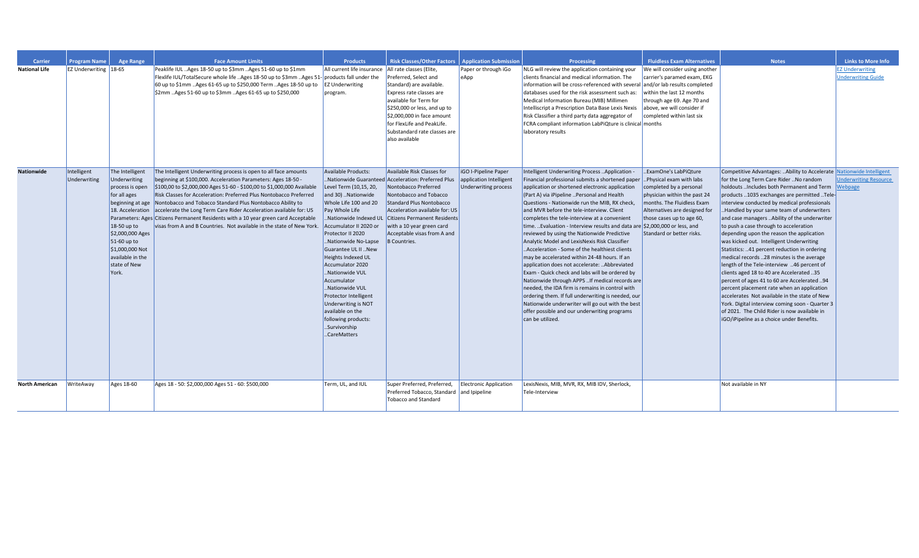| <b>Carrier</b>        | <b>Program Name</b>          | <b>Age Range</b>                                                                                                                                                                                                               | <b>Face Amount Limits</b>                                                                                                                                                                                                                                                                                                                                                                                                                                                                                                                                                            | <b>Products</b>                                                                                                                                                                                                                                                                                                                                                                                                                                                    | <b>Risk Classes/Other Factors</b>                                                                                                                                                                                                                                                                                                 | <b>Application Submission</b>                                                  | Processing                                                                                                                                                                                                                                                                                                                                                                                                                                                                                                                                                                                                                                                                                                                                                                                                                                                                                                                                                                                                            | <b>Fluidless Exam Alternatives</b>                                                                                                                                                                                                    | <b>Notes</b>                                                                                                                                                                                                                                                                                                                                                                                                                                                                                                                                                                                                                                                                                                                                                                                                                                                                                                                                                                       | <b>Links to More Info</b>                           |
|-----------------------|------------------------------|--------------------------------------------------------------------------------------------------------------------------------------------------------------------------------------------------------------------------------|--------------------------------------------------------------------------------------------------------------------------------------------------------------------------------------------------------------------------------------------------------------------------------------------------------------------------------------------------------------------------------------------------------------------------------------------------------------------------------------------------------------------------------------------------------------------------------------|--------------------------------------------------------------------------------------------------------------------------------------------------------------------------------------------------------------------------------------------------------------------------------------------------------------------------------------------------------------------------------------------------------------------------------------------------------------------|-----------------------------------------------------------------------------------------------------------------------------------------------------------------------------------------------------------------------------------------------------------------------------------------------------------------------------------|--------------------------------------------------------------------------------|-----------------------------------------------------------------------------------------------------------------------------------------------------------------------------------------------------------------------------------------------------------------------------------------------------------------------------------------------------------------------------------------------------------------------------------------------------------------------------------------------------------------------------------------------------------------------------------------------------------------------------------------------------------------------------------------------------------------------------------------------------------------------------------------------------------------------------------------------------------------------------------------------------------------------------------------------------------------------------------------------------------------------|---------------------------------------------------------------------------------------------------------------------------------------------------------------------------------------------------------------------------------------|------------------------------------------------------------------------------------------------------------------------------------------------------------------------------------------------------------------------------------------------------------------------------------------------------------------------------------------------------------------------------------------------------------------------------------------------------------------------------------------------------------------------------------------------------------------------------------------------------------------------------------------------------------------------------------------------------------------------------------------------------------------------------------------------------------------------------------------------------------------------------------------------------------------------------------------------------------------------------------|-----------------------------------------------------|
| <b>National Life</b>  | <b>EZ Underwriting 18-65</b> |                                                                                                                                                                                                                                | Peaklife IUL Ages 18-50 up to \$3mm Ages 51-60 up to \$1mm<br>Flexlife IUL/TotalSecure whole life Ages 18-50 up to \$3mm Ages 51- products fall under the<br>60 up to \$1mm Ages 61-65 up to \$250,000 Term Ages 18-50 up to<br>\$2mm Ages 51-60 up to \$3mm Ages 61-65 up to \$250,000                                                                                                                                                                                                                                                                                              | All current life insurance<br><b>EZ Underwriting</b><br>program.                                                                                                                                                                                                                                                                                                                                                                                                   | All rate classes (Elite,<br>Preferred, Select and<br>Standard) are available.<br>Express rate classes are<br>available for Term for<br>\$250,000 or less, and up to                                                                                                                                                               | Paper or through iGo<br>eApp                                                   | NLG will review the application containing your<br>clients financial and medical information. The<br>information will be cross-referenced with several and/or lab results completed<br>databases used for the risk assessment such as:<br>Medical Information Bureau (MIB) Millimen<br>Intelliscript a Prescription Data Base Lexis Nexis                                                                                                                                                                                                                                                                                                                                                                                                                                                                                                                                                                                                                                                                             | We will consider using another<br>carrier's paramed exam, EKG<br>within the last 12 months<br>through age 69. Age 70 and<br>above, we will consider if                                                                                |                                                                                                                                                                                                                                                                                                                                                                                                                                                                                                                                                                                                                                                                                                                                                                                                                                                                                                                                                                                    | <b>EZ Underwriting</b><br><b>Underwriting Guide</b> |
|                       |                              |                                                                                                                                                                                                                                |                                                                                                                                                                                                                                                                                                                                                                                                                                                                                                                                                                                      |                                                                                                                                                                                                                                                                                                                                                                                                                                                                    | \$2,000,000 in face amount<br>for FlexLife and PeakLife.<br>Substandard rate classes are<br>also available                                                                                                                                                                                                                        |                                                                                | Risk Classifier a third party data aggregator of<br>FCRA compliant information LabPiQture is clinical months<br>laboratory results                                                                                                                                                                                                                                                                                                                                                                                                                                                                                                                                                                                                                                                                                                                                                                                                                                                                                    | completed within last six                                                                                                                                                                                                             |                                                                                                                                                                                                                                                                                                                                                                                                                                                                                                                                                                                                                                                                                                                                                                                                                                                                                                                                                                                    |                                                     |
| <b>Nationwide</b>     | Intelligent<br>Underwriting  | The Intelligent<br>Underwriting<br>process is open<br>for all ages<br>beginning at age<br>18. Acceleration<br>18-50 up to<br>\$2,000,000 Ages<br>$51-60$ up to<br>\$1,000,000 Not<br>available in the<br>state of New<br>York. | The Intelligent Underwriting process is open to all face amounts<br>beginning at \$100,000. Acceleration Parameters: Ages 18-50 -<br>\$100,00 to \$2,000,000 Ages 51-60 - \$100,00 to \$1,000,000 Available<br>Risk Classes for Acceleration: Preferred Plus Nontobacco Preferred<br>Nontobacco and Tobacco Standard Plus Nontobacco Ability to<br>accelerate the Long Term Care Rider Acceleration available for: US<br>Parameters: Ages Citizens Permanent Residents with a 10 year green card Acceptable<br>visas from A and B Countries. Not available in the state of New York. | Available Products:<br>Level Term (10,15, 20,<br>and 30) Nationwide<br>Whole Life 100 and 20<br><b>Pay Whole Life</b><br>Nationwide Indexed UL<br>Accumulator II 2020 or<br>Protector II 2020<br>Nationwide No-Lapse<br>Guarantee UL II New<br>Heights Indexed UL<br>Accumulator 2020<br>Nationwide VUL<br>Accumulator<br>Nationwide VUL<br>Protector Intelligent<br>Underwriting is NOT<br>available on the<br>following products:<br>Survivorship<br>CareMatters | Available Risk Classes for<br>Nationwide Guaranteed Acceleration: Preferred Plus<br>Nontobacco Preferred<br>Nontobacco and Tobacco<br><b>Standard Plus Nontobacco</b><br>Acceleration available for: US<br><b>Citizens Permanent Residents</b><br>with a 10 year green card<br>Acceptable visas from A and<br><b>B</b> Countries. | iGO I-Pipeline Paper<br>application Intelligent<br><b>Underwriting process</b> | Intelligent Underwriting Process Application<br>Financial professional submits a shortened paper<br>application or shortened electronic application<br>(Part A) via iPipeline  Personal and Health<br>Questions - Nationwide run the MIB, RX check,<br>and MVR before the tele-interview. Client<br>completes the tele-interview at a convenient<br>time. Evaluation - Interview results and data are \$2,000,000 or less, and<br>reviewed by using the Nationwide Predictive<br>Analytic Model and LexisNexis Risk Classifier<br>Acceleration - Some of the healthiest clients<br>may be accelerated within 24-48 hours. If an<br>application does not accelerate: Abbreviated<br>Exam - Quick check and labs will be ordered by<br>Nationwide through APPS  If medical records are<br>needed, the IDA firm is remains in control with<br>ordering them. If full underwriting is needed, our<br>Nationwide underwriter will go out with the best<br>offer possible and our underwriting programs<br>can be utilized. | .ExamOne's LabPiQture<br>.Physical exam with labs<br>completed by a personal<br>physician within the past 24<br>months. The Fluidless Exam<br>Alternatives are designed for<br>those cases up to age 60,<br>Standard or better risks. | Competitive Advantages:  Ability to Accelerate Nationwide Intelligent<br>for the Long Term Care Rider No random<br>holdouts  Includes both Permanent and Term<br>products 1035 exchanges are permitted Tele-<br>interview conducted by medical professionals<br>Handled by your same team of underwriters<br>and case managers  Ability of the underwriter<br>to push a case through to acceleration<br>depending upon the reason the application<br>was kicked out. Intelligent Underwriting<br>Statistics: 41 percent reduction in ordering<br>medical records 28 minutes is the average<br>length of the Tele-interview 46 percent of<br>clients aged 18 to 40 are Accelerated 35<br>percent of ages 41 to 60 are Accelerated 94<br>percent placement rate when an application<br>accelerates Not available in the state of New<br>York. Digital interview coming soon - Quarter 3<br>of 2021. The Child Rider is now available in<br>iGO/iPipeline as a choice under Benefits. | <b>Underwriting Resource</b><br>Webpage             |
| <b>North American</b> | WriteAway                    | Ages 18-60                                                                                                                                                                                                                     | Ages 18 - 50: \$2,000,000 Ages 51 - 60: \$500,000                                                                                                                                                                                                                                                                                                                                                                                                                                                                                                                                    | Term, UL, and IUL                                                                                                                                                                                                                                                                                                                                                                                                                                                  | Super Preferred, Preferred,<br>Preferred Tobacco, Standard and Ipipeline<br><b>Tobacco and Standard</b>                                                                                                                                                                                                                           | <b>Electronic Application</b>                                                  | LexisNexis, MIB, MVR, RX, MIB IDV, Sherlock,<br>Tele-Interview                                                                                                                                                                                                                                                                                                                                                                                                                                                                                                                                                                                                                                                                                                                                                                                                                                                                                                                                                        |                                                                                                                                                                                                                                       | Not available in NY                                                                                                                                                                                                                                                                                                                                                                                                                                                                                                                                                                                                                                                                                                                                                                                                                                                                                                                                                                |                                                     |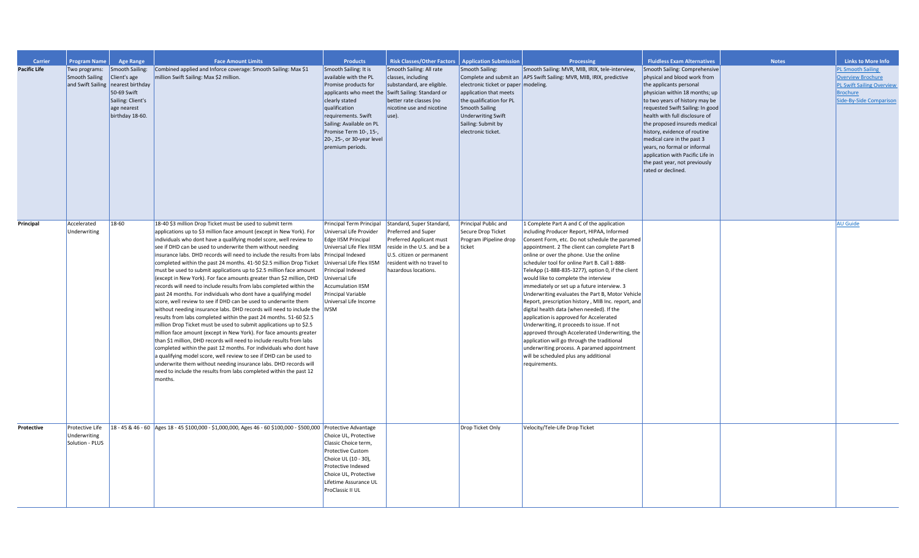| Carrier<br><b>Pacific Life</b> | <b>Program Name</b><br>Two programs: | <b>Age Range</b><br>Smooth Sailing:                                                    | <b>Face Amount Limits</b><br>Combined applied and Inforce coverage: Smooth Sailing: Max \$1                                                                      | <b>Products</b><br>Smooth Sailing: It is                        | <b>Risk Classes/Other Factors</b><br>Smooth Sailing: All rate                                                                     | <b>Application Submission</b><br>Smooth Sailing:                                             | <b>Processing</b><br>Smooth Sailing: MVR, MIB, IRIX, tele-interview,                                   | <b>Fluidless Exam Alternatives</b><br>Smooth Sailing: Comprehensive                                                         | <b>Notes</b> | <b>Links to More Info</b><br>PL Smooth Sailing                                               |
|--------------------------------|--------------------------------------|----------------------------------------------------------------------------------------|------------------------------------------------------------------------------------------------------------------------------------------------------------------|-----------------------------------------------------------------|-----------------------------------------------------------------------------------------------------------------------------------|----------------------------------------------------------------------------------------------|--------------------------------------------------------------------------------------------------------|-----------------------------------------------------------------------------------------------------------------------------|--------------|----------------------------------------------------------------------------------------------|
|                                | Smooth Sailing                       | Client's age<br>and Swift Sailing nearest birthday<br>50-69 Swift<br>Sailing: Client's | million Swift Sailing: Max \$2 million.                                                                                                                          | available with the PL<br>Promise products for<br>clearly stated | classes, including<br>substandard, are eligible.<br>applicants who meet the Swift Sailing: Standard or<br>better rate classes (no | electronic ticket or paper   modeling.<br>application that meets<br>the qualification for PL | Complete and submit an APS Swift Sailing: MVR, MIB, IRIX, predictive                                   | physical and blood work from<br>the applicants personal<br>physician within 18 months; up<br>to two years of history may be |              | Overview Brochure<br>PL Swift Sailing Overview<br><b>Brochure</b><br>Side-By-Side Comparison |
|                                |                                      | age nearest<br>birthday 18-60.                                                         |                                                                                                                                                                  | qualification<br>requirements. Swift                            | nicotine use and nicotine<br>use).                                                                                                | Smooth Sailing<br>Underwriting Swift                                                         |                                                                                                        | requested Swift Sailing: In good<br>health with full disclosure of                                                          |              |                                                                                              |
|                                |                                      |                                                                                        |                                                                                                                                                                  | Sailing: Available on PL<br>Promise Term 10-, 15-,              |                                                                                                                                   | Sailing: Submit by<br>electronic ticket.                                                     |                                                                                                        | the proposed insureds medical<br>history, evidence of routine                                                               |              |                                                                                              |
|                                |                                      |                                                                                        |                                                                                                                                                                  | 20-, 25-, or 30-year level<br>premium periods.                  |                                                                                                                                   |                                                                                              |                                                                                                        | medical care in the past 3<br>years, no formal or informal<br>application with Pacific Life in                              |              |                                                                                              |
|                                |                                      |                                                                                        |                                                                                                                                                                  |                                                                 |                                                                                                                                   |                                                                                              |                                                                                                        | the past year, not previously<br>rated or declined.                                                                         |              |                                                                                              |
|                                |                                      |                                                                                        |                                                                                                                                                                  |                                                                 |                                                                                                                                   |                                                                                              |                                                                                                        |                                                                                                                             |              |                                                                                              |
|                                |                                      |                                                                                        |                                                                                                                                                                  |                                                                 |                                                                                                                                   |                                                                                              |                                                                                                        |                                                                                                                             |              |                                                                                              |
| Principal                      | Accelerated<br>Underwriting          | 18-60                                                                                  | 18-40 \$3 million Drop Ticket must be used to submit term<br>applications up to \$3 million face amount (except in New York). For                                | Principal Term Principal<br>Universal Life Provider             | Standard, Super Standard,<br>Preferred and Super                                                                                  | Principal Public and<br>Secure Drop Ticket                                                   | 1 Complete Part A and C of the application<br>including Producer Report, HIPAA, Informed               |                                                                                                                             |              | <b>AU Guide</b>                                                                              |
|                                |                                      |                                                                                        | individuals who dont have a qualifying model score, well review to<br>see if DHD can be used to underwrite them without needing                                  | Edge IISM Principal<br>Universal Life Flex IIISM                | Preferred Applicant must<br>reside in the U.S. and be a                                                                           | Program iPipeline drop<br>ticket                                                             | Consent Form, etc. Do not schedule the paramed<br>appointment. 2 The client can complete Part B        |                                                                                                                             |              |                                                                                              |
|                                |                                      |                                                                                        | insurance labs. DHD records will need to include the results from labs Principal Indexed<br>completed within the past 24 months. 41-50 \$2.5 million Drop Ticket | Universal Life Flex IISM                                        | U.S. citizen or permanent<br>resident with no travel to                                                                           |                                                                                              | online or over the phone. Use the online<br>scheduler tool for online Part B. Call 1-888-              |                                                                                                                             |              |                                                                                              |
|                                |                                      |                                                                                        | must be used to submit applications up to \$2.5 million face amount<br>(except in New York). For face amounts greater than \$2 million, DHD                      | Principal Indexed<br>Universal Life                             | hazardous locations.                                                                                                              |                                                                                              | TeleApp (1-888-835-3277), option 0, if the client<br>would like to complete the interview              |                                                                                                                             |              |                                                                                              |
|                                |                                      |                                                                                        | records will need to include results from labs completed within the                                                                                              | <b>Accumulation IISM</b>                                        |                                                                                                                                   |                                                                                              | immediately or set up a future interview. 3                                                            |                                                                                                                             |              |                                                                                              |
|                                |                                      |                                                                                        | past 24 months. For individuals who dont have a qualifying model<br>score, well review to see if DHD can be used to underwrite them                              | <b>Principal Variable</b><br>Universal Life Income              |                                                                                                                                   |                                                                                              | Underwriting evaluates the Part B, Motor Vehicle<br>Report, prescription history, MIB Inc. report, and |                                                                                                                             |              |                                                                                              |
|                                |                                      |                                                                                        | without needing insurance labs. DHD records will need to include the IVSM                                                                                        |                                                                 |                                                                                                                                   |                                                                                              | digital health data (when needed). If the                                                              |                                                                                                                             |              |                                                                                              |
|                                |                                      |                                                                                        | results from labs completed within the past 24 months. 51-60 \$2.5<br>million Drop Ticket must be used to submit applications up to \$2.5                        |                                                                 |                                                                                                                                   |                                                                                              | application is approved for Accelerated<br>Underwriting, it proceeds to issue. If not                  |                                                                                                                             |              |                                                                                              |
|                                |                                      |                                                                                        | million face amount (except in New York). For face amounts greater                                                                                               |                                                                 |                                                                                                                                   |                                                                                              | approved through Accelerated Underwriting, the                                                         |                                                                                                                             |              |                                                                                              |
|                                |                                      |                                                                                        | than \$1 million, DHD records will need to include results from labs<br>completed within the past 12 months. For individuals who dont have                       |                                                                 |                                                                                                                                   |                                                                                              | application will go through the traditional<br>underwriting process. A paramed appointment             |                                                                                                                             |              |                                                                                              |
|                                |                                      |                                                                                        | a qualifying model score, well review to see if DHD can be used to<br>underwrite them without needing insurance labs. DHD records will                           |                                                                 |                                                                                                                                   |                                                                                              | will be scheduled plus any additional<br>requirements.                                                 |                                                                                                                             |              |                                                                                              |
|                                |                                      |                                                                                        | need to include the results from labs completed within the past 12<br>months.                                                                                    |                                                                 |                                                                                                                                   |                                                                                              |                                                                                                        |                                                                                                                             |              |                                                                                              |
|                                |                                      |                                                                                        |                                                                                                                                                                  |                                                                 |                                                                                                                                   |                                                                                              |                                                                                                        |                                                                                                                             |              |                                                                                              |
|                                |                                      |                                                                                        |                                                                                                                                                                  |                                                                 |                                                                                                                                   |                                                                                              |                                                                                                        |                                                                                                                             |              |                                                                                              |
| Protective                     | Protective Life<br>Underwriting      |                                                                                        | 18 - 45 & 46 - 60 Ages 18 - 45 \$100,000 - \$1,000,000, Ages 46 - 60 \$100,000 - \$500,000 Protective Advantage                                                  | Choice UL, Protective                                           |                                                                                                                                   | Drop Ticket Only                                                                             | Velocity/Tele-Life Drop Ticket                                                                         |                                                                                                                             |              |                                                                                              |
|                                | Solution - PLUS                      |                                                                                        |                                                                                                                                                                  | Classic Choice term,                                            |                                                                                                                                   |                                                                                              |                                                                                                        |                                                                                                                             |              |                                                                                              |
|                                |                                      |                                                                                        |                                                                                                                                                                  | Protective Custom<br>Choice UL (10 - 30),                       |                                                                                                                                   |                                                                                              |                                                                                                        |                                                                                                                             |              |                                                                                              |
|                                |                                      |                                                                                        |                                                                                                                                                                  | Protective Indexed                                              |                                                                                                                                   |                                                                                              |                                                                                                        |                                                                                                                             |              |                                                                                              |
|                                |                                      |                                                                                        |                                                                                                                                                                  | Choice UL, Protective<br>Lifetime Assurance UL                  |                                                                                                                                   |                                                                                              |                                                                                                        |                                                                                                                             |              |                                                                                              |
|                                |                                      |                                                                                        |                                                                                                                                                                  | ProClassic II UL                                                |                                                                                                                                   |                                                                                              |                                                                                                        |                                                                                                                             |              |                                                                                              |
|                                |                                      |                                                                                        |                                                                                                                                                                  |                                                                 |                                                                                                                                   |                                                                                              |                                                                                                        |                                                                                                                             |              |                                                                                              |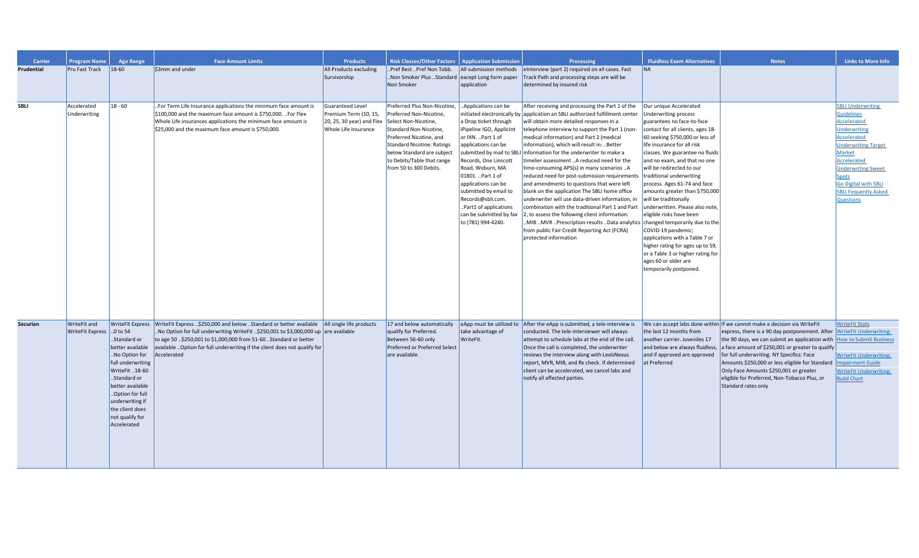| <b>Carrier</b>    | <b>Program Name</b>                      | <b>Age Range</b>                                                                                                                                                                                                       | <b>Face Amount Limits</b>                                                                                                                                                                                                                                                                                                                                         | <b>Products</b>                                                                                  | <b>Risk Classes/Other Factors   Application Submission</b>                                                                                                                                                                                                      |                                                                                                                                                                                                                                                                                                                                      | Processing                                                                                                                                                                                                                                                                                                                                                                                                                                                                                                                                                                                                                                                                                                                                                                                                                                                                                                                                                                                                               | <b>Fluidless Exam Alternatives</b>                                                                                                                                                                                                                                                                                                                                                                                                                                                                                                                                                              | <b>Notes</b>                                                                                                                                                                                                                                                                                                                                                                                                                                      | <b>Links to More Info</b>                                                                                                                                                                                                                                                                       |
|-------------------|------------------------------------------|------------------------------------------------------------------------------------------------------------------------------------------------------------------------------------------------------------------------|-------------------------------------------------------------------------------------------------------------------------------------------------------------------------------------------------------------------------------------------------------------------------------------------------------------------------------------------------------------------|--------------------------------------------------------------------------------------------------|-----------------------------------------------------------------------------------------------------------------------------------------------------------------------------------------------------------------------------------------------------------------|--------------------------------------------------------------------------------------------------------------------------------------------------------------------------------------------------------------------------------------------------------------------------------------------------------------------------------------|--------------------------------------------------------------------------------------------------------------------------------------------------------------------------------------------------------------------------------------------------------------------------------------------------------------------------------------------------------------------------------------------------------------------------------------------------------------------------------------------------------------------------------------------------------------------------------------------------------------------------------------------------------------------------------------------------------------------------------------------------------------------------------------------------------------------------------------------------------------------------------------------------------------------------------------------------------------------------------------------------------------------------|-------------------------------------------------------------------------------------------------------------------------------------------------------------------------------------------------------------------------------------------------------------------------------------------------------------------------------------------------------------------------------------------------------------------------------------------------------------------------------------------------------------------------------------------------------------------------------------------------|---------------------------------------------------------------------------------------------------------------------------------------------------------------------------------------------------------------------------------------------------------------------------------------------------------------------------------------------------------------------------------------------------------------------------------------------------|-------------------------------------------------------------------------------------------------------------------------------------------------------------------------------------------------------------------------------------------------------------------------------------------------|
| <b>Prudential</b> | <b>Pru Fast Track</b>                    | $18-60$                                                                                                                                                                                                                | \$3mm and under                                                                                                                                                                                                                                                                                                                                                   | All Products excluding<br>Survivorship                                                           | .Pref Best Pref Non Tobb.<br>.Non Smoker Plus Standard<br>Non Smoker                                                                                                                                                                                            | All submission methods<br>except Long form paper<br>application                                                                                                                                                                                                                                                                      | elnterview (part 2) required on all cases. Fast<br>Track Path and processing steps are will be<br>determined by insured risk                                                                                                                                                                                                                                                                                                                                                                                                                                                                                                                                                                                                                                                                                                                                                                                                                                                                                             | <b>NA</b>                                                                                                                                                                                                                                                                                                                                                                                                                                                                                                                                                                                       |                                                                                                                                                                                                                                                                                                                                                                                                                                                   |                                                                                                                                                                                                                                                                                                 |
| SBLI              | Accelerated<br>Underwriting              | $18 - 60$                                                                                                                                                                                                              | . For Term Life Insurance applications the minimum face amount is<br>$\frac{1}{2}100,000$ and the maximum face amount is \$750,000. . For Flex<br>Whole Life insurances applications the minimum face amount is<br>$\frac{1}{2}$ \$25,000 and the maximum face amount is \$750,000.                                                                               | Guaranteed Level<br>Premium Term (10, 15,<br>$20, 25, 30$ year) and Flex<br>Whole Life Insurance | Preferred Plus Non-Nicotine,<br>Preferred Non-Nicotine,<br>Select Non-Nicotine,<br>Standard Non-Nicotine,<br>Preferred Nicotine, and<br><b>Standard Nicotine. Ratings</b><br>below Standard are subject<br>to Debits/Table that range<br>from 50 to 300 Debits. | Applications can be<br>a Drop ticket through<br>iPipeline IGO, ApplicInt<br>or IXN. Part 1 of<br>applications can be<br>Records, One Linscott<br>Road, Woburn, MA<br>01801. Part 1 of<br>applications can be<br>submitted by email to<br>Records@sbli.com.<br>Part1 of applications<br>can be submitted by fax<br>to (781) 994-4240. | After receiving and processing the Part 1 of the<br>initiated electronically by application an SBLI authorized fulfillment center<br>will obtain more detailed responses in a<br>telephone interview to support the Part 1 (non-<br>medical information) and Part 2 (medical<br>information), which will result in: Better<br>submitted by mail to SBLI information for the underwriter to make a<br>timelier assessment A reduced need for the<br>time-consuming APS(s) in many scenarios A<br>reduced need for post-submission requirements   traditional underwriting<br>and amendments to questions that were left<br>blank on the application The SBLI home office<br>underwriter will use data-driven information, in<br>combination with the traditional Part 1 and Part underwritten. Please also note,<br>2, to assess the following client information:<br>MIB MVR Prescription results Data analytics changed temporarily due to the<br>from public Fair Credit Reporting Act (FCRA)<br>protected information | Our unique Accelerated<br>Underwriting process<br>guarantees no face-to-face<br>contact for all clients, ages 18-<br>60 seeking \$750,000 or less of<br>life insurance for all risk<br>classes. We guarantee no fluids<br>and no exam, and that no one<br>will be redirected to our<br>process. Ages 61-74 and face<br>amounts greater than \$750,000  <br>will be traditionally<br>eligible risks have been<br>COVID-19 pandemic;<br>applications with a Table 7 or<br>higher rating for ages up to 59,<br>or a Table 3 or higher rating for<br>ages 60 or older are<br>temporarily postponed. |                                                                                                                                                                                                                                                                                                                                                                                                                                                   | <b>SBLI Underwriting</b><br><b>Guidelines</b><br><b>Accelerated</b><br><b>Underwriting</b><br>Accelerated<br><b>Underwriting Target</b><br>Market<br>Accelerated<br><b>Underwriting Sweet</b><br><b>Spots</b><br><b>Go Digital with SBLI</b><br><b>SBLI Fequently Asked</b><br><b>Questions</b> |
| <b>Securian</b>   | WriteFit and<br>WriteFit Express 0 to 54 | Standard or<br>better available<br>.No Option for<br>full underwriting<br>WriteFit 18-60<br>Standard or<br>better available<br>Option for full<br>underwriting if<br>the client does<br>not qualify for<br>Accelerated | WriteFit Express WriteFit Express \$250,000 and below Standard or better available All single life products<br>.No Option for full underwriting WriteFit \$250,001 to \$3,000,000 up are available<br>to age 50\$250,001 to \$1,000,000 from 51-60Standard or better<br>available  Option for full underwriting if the client does not qualify for<br>Accelerated |                                                                                                  | 17 and below automatically<br>qualify for Preferred.<br>Between 56-60 only<br>Preferred or Preferred Select<br>are available.                                                                                                                                   | take advantage of<br>WriteFit.                                                                                                                                                                                                                                                                                                       | e App must be utilized to $\vert$ After the eApp is submitted, a tele-interview is<br>conducted. The tele-interviewer will always<br>attempt to schedule labs at the end of the call.<br>Once the call is completed, the underwriter<br>reviews the interview along with LexisNexus<br>report, MVR, MIB, and Rx check. If determined<br>client can be accelerated, we cancel labs and<br>notify all affected parties.                                                                                                                                                                                                                                                                                                                                                                                                                                                                                                                                                                                                    | the last 12 months from<br>another carrier. Juveniles 17<br>and below are always fluidless,<br>and if approved are approved<br>at Preferred                                                                                                                                                                                                                                                                                                                                                                                                                                                     | We can accept labs done within If we cannot make a decision via WriteFit<br>express, there is a 90 day postponement. After<br>the 90 days, we can submit an application with<br>a face amount of \$250,001 or greater to qualify<br>for full underwriting. NY Specifics: Face<br>Amounts \$250,000 or less eligible for Standard<br>Only Face Amounts \$250,001 or greater<br>eligible for Preferred, Non-Tobacco Plus, or<br>Standard rates only | <b>WriteFit Stats</b><br><b>WriteFit Underwriting:</b><br><b>How to Submit Business</b><br><b>WriteFit Underwriting:</b><br><b>Impairment Guide</b><br><b>WriteFit Underwriting:</b><br><b>Build Chart</b>                                                                                      |